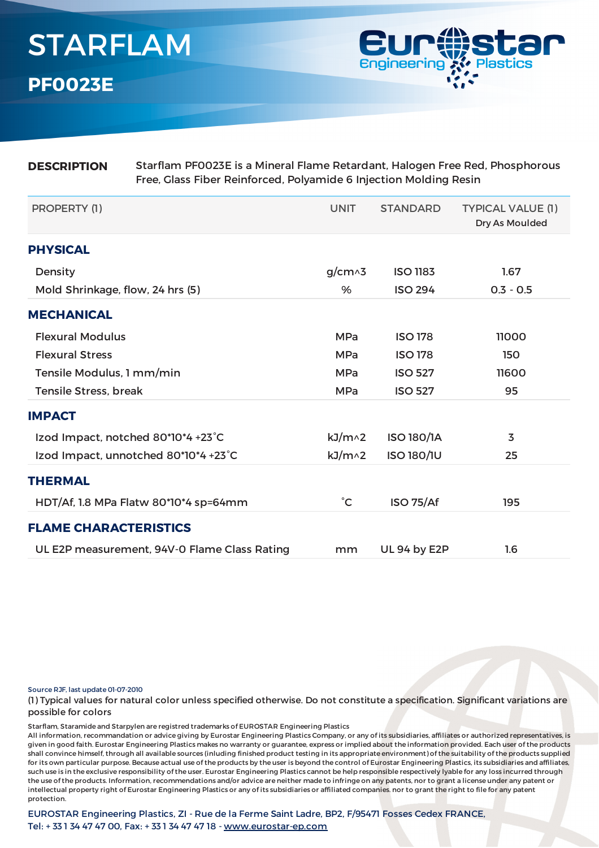

| <b>DESCRIPTION</b>                 | Starflam PF0023E is a Mineral Flame Retardant, Halogen Free Red, Phosphorous<br>Free, Glass Fiber Reinforced, Polyamide 6 Injection Molding Resin |                   |                   |                                            |  |  |
|------------------------------------|---------------------------------------------------------------------------------------------------------------------------------------------------|-------------------|-------------------|--------------------------------------------|--|--|
| PROPERTY (1)                       |                                                                                                                                                   | <b>UNIT</b>       | <b>STANDARD</b>   | <b>TYPICAL VALUE (1)</b><br>Dry As Moulded |  |  |
| <b>PHYSICAL</b>                    |                                                                                                                                                   |                   |                   |                                            |  |  |
| Density                            |                                                                                                                                                   | $g/cm \wedge 3$   | <b>ISO 1183</b>   | 1.67                                       |  |  |
| Mold Shrinkage, flow, 24 hrs (5)   |                                                                                                                                                   | %                 | <b>ISO 294</b>    | $0.3 - 0.5$                                |  |  |
| <b>MECHANICAL</b>                  |                                                                                                                                                   |                   |                   |                                            |  |  |
| <b>Flexural Modulus</b>            |                                                                                                                                                   | <b>MPa</b>        | <b>ISO 178</b>    | 11000                                      |  |  |
| <b>Flexural Stress</b>             |                                                                                                                                                   | <b>MPa</b>        | <b>ISO 178</b>    | 150                                        |  |  |
| Tensile Modulus, 1 mm/min          |                                                                                                                                                   | <b>MPa</b>        | <b>ISO 527</b>    | 11600                                      |  |  |
| <b>Tensile Stress, break</b>       |                                                                                                                                                   | <b>MPa</b>        | <b>ISO 527</b>    | 95                                         |  |  |
| <b>IMPACT</b>                      |                                                                                                                                                   |                   |                   |                                            |  |  |
| Izod Impact, notched 80*10*4 +23°C |                                                                                                                                                   | kJ/m <sub>2</sub> | <b>ISO 180/1A</b> | 3                                          |  |  |
|                                    | Izod Impact, unnotched 80*10*4 +23°C                                                                                                              | kJ/m <sub>2</sub> | <b>ISO 180/1U</b> | 25                                         |  |  |
| <b>THERMAL</b>                     |                                                                                                                                                   |                   |                   |                                            |  |  |
|                                    | HDT/Af, 1.8 MPa Flatw 80*10*4 sp=64mm                                                                                                             | $^{\circ}$ C      | <b>ISO 75/Af</b>  | 195                                        |  |  |
| <b>FLAME CHARACTERISTICS</b>       |                                                                                                                                                   |                   |                   |                                            |  |  |
|                                    | UL E2P measurement, 94V-0 Flame Class Rating                                                                                                      | mm                | UL 94 by E2P      | 1.6                                        |  |  |

Source RJF, last update 01-07-2010

(1) Typical values for natural color unless specified otherwise. Do not constitute a specification. Significant variations are possible for colors

Starflam, Staramide and Starpylen are registred trademarks of EUROSTAR Engineering Plastics

All information, recommandation or advice giving by Eurostar Engineering Plastics Company, or any of its subsidiaries, affiliates or authorized representatives, is given in good faith. Eurostar Engineering Plastics makes no warranty or guarantee, express or implied about the information provided. Each user of the products shall convince himself, through all available sources (inluding finished product testing in its appropriate environment) of the suitability of the products supplied for its own particular purpose. Because actual use of the products by the user is beyond the control of Eurostar Engineering Plastics, its subsidiaries and affiliates, such use is in the exclusive responsibility of the user. Eurostar Engineering Plastics cannot be help responsible respectively lyable for any loss incurred through the use of the products. Information, recommendations and/or advice are neither made to infringe on any patents, nor to grant a license under any patent or intellectual property right of Eurostar Engineering Plastics or any of its subsidiaries or affiliated companies. nor to grant the right to file for any patent protection.

EUROSTAR Engineering Plastics, ZI - Rue de la Ferme Saint Ladre, BP2, F/95471 Fosses Cedex FRANCE, Tel: + 33 1 34 47 47 00, Fax: + 33 1 34 47 47 18 - [www.eurostar-ep.com](http://www.eurostar-ep.com/)